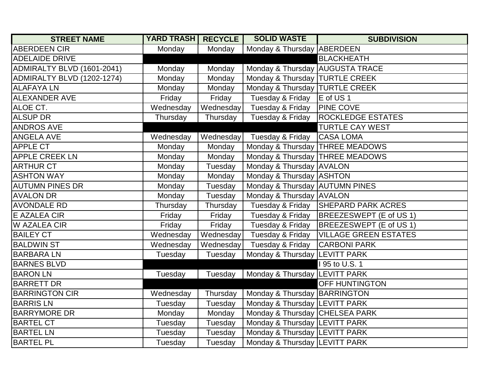| <b>STREET NAME</b>         | <b>YARD TRASH RECYCLE</b> |           | <b>SOLID WASTE</b>                | <b>SUBDIVISION</b>                |
|----------------------------|---------------------------|-----------|-----------------------------------|-----------------------------------|
| <b>ABERDEEN CIR</b>        | Monday                    | Monday    | Monday & Thursday ABERDEEN        |                                   |
| <b>ADELAIDE DRIVE</b>      |                           |           |                                   | <b>BLACKHEATH</b>                 |
| ADMIRALTY BLVD (1601-2041) | Monday                    | Monday    | Monday & Thursday AUGUSTA TRACE   |                                   |
| ADMIRALTY BLVD (1202-1274) | Monday                    | Monday    | Monday & Thursday   TURTLE CREEK  |                                   |
| <b>ALAFAYALN</b>           | Monday                    | Monday    | Monday & Thursday  TURTLE CREEK   |                                   |
| <b>ALEXANDER AVE</b>       | Friday                    | Friday    | Tuesday & Friday                  | E of US <sub>1</sub>              |
| ALOE CT.                   | Wednesday                 | Wednesday | Tuesday & Friday                  | <b>PINE COVE</b>                  |
| <b>ALSUP DR</b>            | Thursday                  | Thursday  | Tuesday & Friday                  | <b>ROCKLEDGE ESTATES</b>          |
| <b>ANDROS AVE</b>          |                           |           |                                   | <b>TURTLE CAY WEST</b>            |
| <b>ANGELA AVE</b>          | Wednesday                 | Wednesday | Tuesday & Friday CASA LOMA        |                                   |
| <b>APPLE CT</b>            | Monday                    | Monday    |                                   | Monday & Thursday   THREE MEADOWS |
| <b>APPLE CREEK LN</b>      | Monday                    | Monday    | Monday & Thursday   THREE MEADOWS |                                   |
| <b>ARTHUR CT</b>           | Monday                    | Tuesday   | Monday & Thursday AVALON          |                                   |
| <b>ASHTON WAY</b>          | Monday                    | Monday    | Monday & Thursday ASHTON          |                                   |
| <b>AUTUMN PINES DR</b>     | Monday                    | Tuesday   | Monday & Thursday AUTUMN PINES    |                                   |
| <b>AVALON DR</b>           | Monday                    | Tuesday   | Monday & Thursday AVALON          |                                   |
| <b>AVONDALE RD</b>         | Thursday                  | Thursday  | Tuesday & Friday                  | <b>SHEPARD PARK ACRES</b>         |
| <b>E AZALEA CIR</b>        | Friday                    | Friday    | Tuesday & Friday                  | BREEZESWEPT (E of US 1)           |
| <b>W AZALEA CIR</b>        | Friday                    | Friday    | Tuesday & Friday                  | BREEZESWEPT (E of US 1)           |
| <b>BAILEY CT</b>           | Wednesday                 | Wednesday | Tuesday & Friday                  | <b>VILLAGE GREEN ESTATES</b>      |
| <b>BALDWIN ST</b>          | Wednesday                 | Wednesday | Tuesday & Friday                  | <b>CARBONI PARK</b>               |
| <b>BARBARALN</b>           | Tuesday                   | Tuesday   | Monday & Thursday LEVITT PARK     |                                   |
| <b>BARNES BLVD</b>         |                           |           |                                   | 195 to U.S. 1                     |
| <b>BARON LN</b>            | Tuesday                   | Tuesday   | Monday & Thursday LEVITT PARK     |                                   |
| <b>BARRETT DR</b>          |                           |           |                                   | <b>OFF HUNTINGTON</b>             |
| <b>BARRINGTON CIR</b>      | Wednesday                 | Thursday  | Monday & Thursday   BARRINGTON    |                                   |
| <b>BARRIS LN</b>           | Tuesday                   | Tuesday   | Monday & Thursday LEVITT PARK     |                                   |
| <b>BARRYMORE DR</b>        | Monday                    | Monday    | Monday & Thursday CHELSEA PARK    |                                   |
| <b>BARTEL CT</b>           | Tuesday                   | Tuesday   | Monday & Thursday LEVITT PARK     |                                   |
| <b>BARTEL LN</b>           | Tuesday                   | Tuesday   | Monday & Thursday LEVITT PARK     |                                   |
| <b>BARTEL PL</b>           | Tuesday                   | Tuesday   | Monday & Thursday LEVITT PARK     |                                   |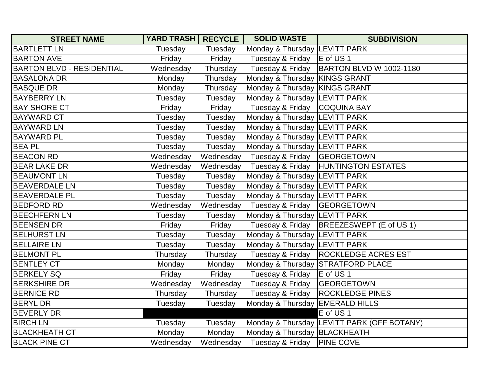| <b>STREET NAME</b>               | <b>YARD TRASH RECYCLE</b> |           | <b>SOLID WASTE</b>              | <b>SUBDIVISION</b>                         |
|----------------------------------|---------------------------|-----------|---------------------------------|--------------------------------------------|
| <b>BARTLETT LN</b>               | Tuesday                   | Tuesday   | Monday & Thursday LEVITT PARK   |                                            |
| <b>BARTON AVE</b>                | Friday                    | Friday    | Tuesday & Friday                | E of US 1                                  |
| <b>BARTON BLVD - RESIDENTIAL</b> | Wednesday                 | Thursday  | Tuesday & Friday                | BARTON BLVD W 1002-1180                    |
| <b>BASALONA DR</b>               | Monday                    | Thursday  | Monday & Thursday KINGS GRANT   |                                            |
| <b>BASQUE DR</b>                 | Monday                    | Thursday  | Monday & Thursday KINGS GRANT   |                                            |
| <b>BAYBERRY LN</b>               | Tuesday                   | Tuesday   | Monday & Thursday LEVITT PARK   |                                            |
| <b>BAY SHORE CT</b>              | Friday                    | Friday    | Tuesday & Friday                | <b>COQUINA BAY</b>                         |
| <b>BAYWARD CT</b>                | Tuesday                   | Tuesday   | Monday & Thursday LEVITT PARK   |                                            |
| <b>BAYWARD LN</b>                | Tuesday                   | Tuesday   | Monday & Thursday LEVITT PARK   |                                            |
| <b>BAYWARD PL</b>                | Tuesday                   | Tuesday   | Monday & Thursday   LEVITT PARK |                                            |
| <b>BEA PL</b>                    | Tuesday                   | Tuesday   | Monday & Thursday LEVITT PARK   |                                            |
| <b>BEACON RD</b>                 | Wednesday                 | Wednesday | Tuesday & Friday                | <b>GEORGETOWN</b>                          |
| <b>BEAR LAKE DR</b>              | Wednesday                 | Wednesday | Tuesday & Friday                | <b>HUNTINGTON ESTATES</b>                  |
| <b>BEAUMONT LN</b>               | Tuesday                   | Tuesday   | Monday & Thursday LEVITT PARK   |                                            |
| <b>BEAVERDALE LN</b>             | Tuesday                   | Tuesday   | Monday & Thursday LEVITT PARK   |                                            |
| <b>BEAVERDALE PL</b>             | Tuesday                   | Tuesday   | Monday & Thursday LEVITT PARK   |                                            |
| <b>BEDFORD RD</b>                | Wednesday                 | Wednesday | Tuesday & Friday                | <b>GEORGETOWN</b>                          |
| <b>BEECHFERN LN</b>              | Tuesday                   | Tuesday   | Monday & Thursday LEVITT PARK   |                                            |
| <b>BEENSEN DR</b>                | Friday                    | Friday    | Tuesday & Friday                | <b>BREEZESWEPT (E of US 1)</b>             |
| <b>BELHURST LN</b>               | Tuesday                   | Tuesday   | Monday & Thursday LEVITT PARK   |                                            |
| <b>BELLAIRE LN</b>               | Tuesday                   | Tuesday   | Monday & Thursday LEVITT PARK   |                                            |
| <b>BELMONT PL</b>                | Thursday                  | Thursday  | Tuesday & Friday                | <b>ROCKLEDGE ACRES EST</b>                 |
| <b>BENTLEY CT</b>                | Monday                    | Monday    | Monday & Thursday               | <b>STRATFORD PLACE</b>                     |
| <b>BERKELY SQ</b>                | Friday                    | Friday    | Tuesday & Friday                | E of US <sub>1</sub>                       |
| <b>BERKSHIRE DR</b>              | Wednesday                 | Wednesday | Tuesday & Friday                | <b>GEORGETOWN</b>                          |
| <b>BERNICE RD</b>                | Thursday                  | Thursday  | Tuesday & Friday                | <b>ROCKLEDGE PINES</b>                     |
| <b>BERYL DR</b>                  | Tuesday                   | Tuesday   | Monday & Thursday               | <b>EMERALD HILLS</b>                       |
| <b>BEVERLY DR</b>                |                           |           |                                 | E of US1                                   |
| <b>BIRCH LN</b>                  | Tuesday                   | Tuesday   |                                 | Monday & Thursday LEVITT PARK (OFF BOTANY) |
| <b>BLACKHEATH CT</b>             | Monday                    | Monday    | Monday & Thursday BLACKHEATH    |                                            |
| <b>BLACK PINE CT</b>             | Wednesday                 | Wednesday | Tuesday & Friday                | <b>PINE COVE</b>                           |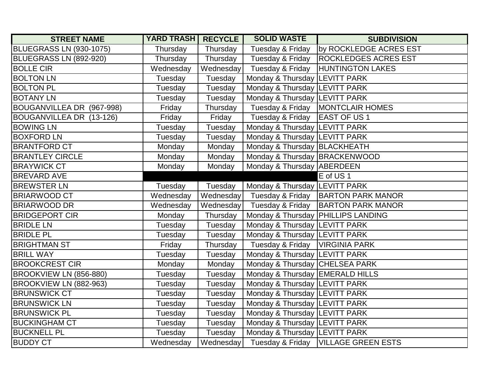| <b>STREET NAME</b>        | <b>YARD TRASH RECYCLE</b> |           | <b>SOLID WASTE</b>                | <b>SUBDIVISION</b>                 |
|---------------------------|---------------------------|-----------|-----------------------------------|------------------------------------|
| BLUEGRASS LN (930-1075)   | Thursday                  | Thursday  | Tuesday & Friday                  | by ROCKLEDGE ACRES EST             |
| BLUEGRASS LN (892-920)    | Thursday                  | Thursday  | Tuesday & Friday                  | <b>ROCKLEDGES ACRES EST</b>        |
| <b>BOLLE CIR</b>          | Wednesday                 | Wednesday | Tuesday & Friday                  | <b>HUNTINGTON LAKES</b>            |
| <b>BOLTON LN</b>          | Tuesday                   | Tuesday   | Monday & Thursday LEVITT PARK     |                                    |
| <b>BOLTON PL</b>          | Tuesday                   | Tuesday   | Monday & Thursday LEVITT PARK     |                                    |
| <b>BOTANY LN</b>          | Tuesday                   | Tuesday   | Monday & Thursday LEVITT PARK     |                                    |
| BOUGANVILLEA DR (967-998) | Friday                    | Thursday  | Tuesday & Friday                  | <b>MONTCLAIR HOMES</b>             |
| BOUGANVILLEA DR (13-126)  | Friday                    | Friday    | Tuesday & Friday                  | <b>EAST OF US1</b>                 |
| <b>BOWING LN</b>          | Tuesday                   | Tuesday   | Monday & Thursday LEVITT PARK     |                                    |
| <b>BOXFORD LN</b>         | Tuesday                   | Tuesday   | Monday & Thursday LEVITT PARK     |                                    |
| <b>BRANTFORD CT</b>       | Monday                    | Monday    | Monday & Thursday BLACKHEATH      |                                    |
| <b>BRANTLEY CIRCLE</b>    | Monday                    | Monday    | Monday & Thursday BRACKENWOOD     |                                    |
| <b>BRAYWICK CT</b>        | Monday                    | Monday    | Monday & Thursday ABERDEEN        |                                    |
| <b>BREVARD AVE</b>        |                           |           |                                   | E of US1                           |
| <b>BREWSTER LN</b>        | Tuesday                   | Tuesday   | Monday & Thursday LEVITT PARK     |                                    |
| <b>BRIARWOOD CT</b>       | Wednesday                 | Wednesday | Tuesday & Friday                  | <b>BARTON PARK MANOR</b>           |
| <b>BRIARWOOD DR</b>       | Wednesday                 | Wednesday | Tuesday & Friday                  | <b>BARTON PARK MANOR</b>           |
| <b>BRIDGEPORT CIR</b>     | Monday                    | Thursday  |                                   | Monday & Thursday PHILLIPS LANDING |
| <b>BRIDLE LN</b>          | Tuesday                   | Tuesday   | Monday & Thursday  LEVITT PARK    |                                    |
| <b>BRIDLE PL</b>          | Tuesday                   | Tuesday   | Monday & Thursday LEVITT PARK     |                                    |
| <b>BRIGHTMAN ST</b>       | Friday                    | Thursday  | Tuesday & Friday                  | <b>VIRGINIA PARK</b>               |
| <b>BRILL WAY</b>          | Tuesday                   | Tuesday   | Monday & Thursday LEVITT PARK     |                                    |
| <b>BROOKCREST CIR</b>     | Monday                    | Monday    | Monday & Thursday CHELSEA PARK    |                                    |
| BROOKVIEW LN (856-880)    | Tuesday                   | Tuesday   | Monday & Thursday   EMERALD HILLS |                                    |
| BROOKVIEW LN (882-963)    | Tuesday                   | Tuesday   | Monday & Thursday LEVITT PARK     |                                    |
| <b>BRUNSWICK CT</b>       | Tuesday                   | Tuesday   | Monday & Thursday LEVITT PARK     |                                    |
| <b>BRUNSWICK LN</b>       | Tuesday                   | Tuesday   | Monday & Thursday LEVITT PARK     |                                    |
| <b>BRUNSWICK PL</b>       | Tuesday                   | Tuesday   | Monday & Thursday  LEVITT PARK    |                                    |
| <b>BUCKINGHAM CT</b>      | Tuesday                   | Tuesday   | Monday & Thursday LEVITT PARK     |                                    |
| <b>BUCKNELL PL</b>        | Tuesday                   | Tuesday   | Monday & Thursday LEVITT PARK     |                                    |
| <b>BUDDY CT</b>           | Wednesday                 | Wednesday | Tuesday & Friday                  | <b>VILLAGE GREEN ESTS</b>          |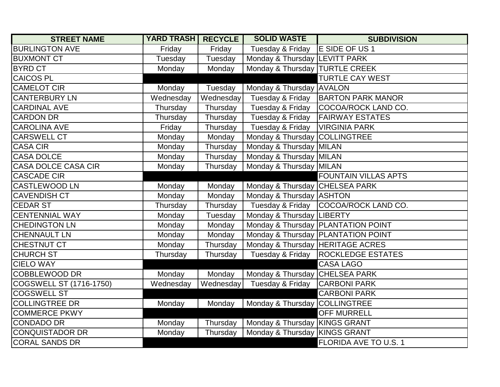| <b>STREET NAME</b>             | <b>YARD TRASH RECYCLE</b> |           | <b>SOLID WASTE</b>               | <b>SUBDIVISION</b>                   |
|--------------------------------|---------------------------|-----------|----------------------------------|--------------------------------------|
| <b>BURLINGTON AVE</b>          | Friday                    | Friday    | Tuesday & Friday                 | E SIDE OF US 1                       |
| <b>BUXMONT CT</b>              | Tuesday                   | Tuesday   | Monday & Thursday LEVITT PARK    |                                      |
| <b>BYRD CT</b>                 | Monday                    | Monday    | Monday & Thursday   TURTLE CREEK |                                      |
| <b>CAICOS PL</b>               |                           |           |                                  | <b>TURTLE CAY WEST</b>               |
| <b>CAMELOT CIR</b>             | Monday                    | Tuesday   | Monday & Thursday AVALON         |                                      |
| <b>CANTERBURY LN</b>           | Wednesday                 | Wednesday | Tuesday & Friday                 | <b>BARTON PARK MANOR</b>             |
| <b>CARDINAL AVE</b>            | Thursday                  | Thursday  | Tuesday & Friday                 | COCOA/ROCK LAND CO.                  |
| <b>CARDON DR</b>               | Thursday                  | Thursday  | Tuesday & Friday                 | <b>FAIRWAY ESTATES</b>               |
| <b>CAROLINA AVE</b>            | Friday                    | Thursday  | Tuesday & Friday                 | <b>VIRGINIA PARK</b>                 |
| <b>CARSWELL CT</b>             | Monday                    | Monday    | Monday & Thursday COLLINGTREE    |                                      |
| <b>CASA CIR</b>                | Monday                    | Thursday  | Monday & Thursday MILAN          |                                      |
| <b>CASA DOLCE</b>              | Monday                    | Thursday  | Monday & Thursday MILAN          |                                      |
| <b>CASA DOLCE CASA CIR</b>     | Monday                    | Thursday  | Monday & Thursday MILAN          |                                      |
| <b>CASCADE CIR</b>             |                           |           |                                  | <b>FOUNTAIN VILLAS APTS</b>          |
| <b>CASTLEWOOD LN</b>           | Monday                    | Monday    | Monday & Thursday CHELSEA PARK   |                                      |
| <b>CAVENDISH CT</b>            | Monday                    | Monday    | Monday & Thursday ASHTON         |                                      |
| <b>CEDAR ST</b>                | Thursday                  | Thursday  |                                  | Tuesday & Friday COCOA/ROCK LAND CO. |
| <b>CENTENNIAL WAY</b>          | Monday                    | Tuesday   | Monday & Thursday LIBERTY        |                                      |
| <b>CHEDINGTON LN</b>           | Monday                    | Monday    |                                  | Monday & Thursday   PLANTATION POINT |
| <b>CHENNAULT LN</b>            | Monday                    | Monday    |                                  | Monday & Thursday   PLANTATION POINT |
| CHESTNUT CT                    | Monday                    | Thursday  | Monday & Thursday HERITAGE ACRES |                                      |
| <b>CHURCH ST</b>               | Thursday                  | Thursday  | Tuesday & Friday                 | <b>ROCKLEDGE ESTATES</b>             |
| <b>CIELO WAY</b>               |                           |           |                                  | <b>CASA LAGO</b>                     |
| <b>COBBLEWOOD DR</b>           | Monday                    | Monday    | Monday & Thursday CHELSEA PARK   |                                      |
| <b>COGSWELL ST (1716-1750)</b> | Wednesday                 | Wednesday | Tuesday & Friday                 | <b>CARBONI PARK</b>                  |
| <b>COGSWELL ST</b>             |                           |           |                                  | <b>CARBONI PARK</b>                  |
| <b>COLLINGTREE DR</b>          | Monday                    | Monday    | Monday & Thursday COLLINGTREE    |                                      |
| <b>COMMERCE PKWY</b>           |                           |           |                                  | <b>OFF MURRELL</b>                   |
| <b>CONDADO DR</b>              | Monday                    | Thursday  | Monday & Thursday KINGS GRANT    |                                      |
| <b>CONQUISTADOR DR</b>         | Monday                    | Thursday  | Monday & Thursday KINGS GRANT    |                                      |
| <b>CORAL SANDS DR</b>          |                           |           |                                  | <b>FLORIDA AVE TO U.S. 1</b>         |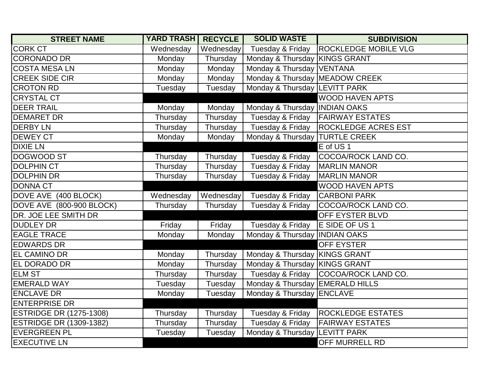| <b>STREET NAME</b>             | <b>YARD TRASH</b> | <b>RECYCLE</b> | <b>SOLID WASTE</b>              | <b>SUBDIVISION</b>          |
|--------------------------------|-------------------|----------------|---------------------------------|-----------------------------|
| <b>CORK CT</b>                 | Wednesday         | Wednesday      | Tuesday & Friday                | <b>ROCKLEDGE MOBILE VLG</b> |
| <b>CORONADO DR</b>             | Monday            | Thursday       | Monday & Thursday KINGS GRANT   |                             |
| <b>COSTA MESA LN</b>           | Monday            | Monday         | Monday & Thursday VENTANA       |                             |
| <b>CREEK SIDE CIR</b>          | Monday            | Monday         | Monday & Thursday MEADOW CREEK  |                             |
| <b>CROTON RD</b>               | Tuesday           | Tuesday        | Monday & Thursday LEVITT PARK   |                             |
| <b>CRYSTAL CT</b>              |                   |                |                                 | <b>WOOD HAVEN APTS</b>      |
| <b>DEER TRAIL</b>              | Monday            | Monday         | Monday & Thursday INDIAN OAKS   |                             |
| <b>DEMARET DR</b>              | Thursday          | Thursday       | Tuesday & Friday                | <b>FAIRWAY ESTATES</b>      |
| <b>DERBY LN</b>                | Thursday          | Thursday       | Tuesday & Friday                | <b>ROCKLEDGE ACRES EST</b>  |
| <b>DEWEY CT</b>                | Monday            | Monday         | Monday & Thursday  TURTLE CREEK |                             |
| <b>DIXIE LN</b>                |                   |                |                                 | E of US <sub>1</sub>        |
| <b>DOGWOOD ST</b>              | Thursday          | Thursday       | Tuesday & Friday                | COCOA/ROCK LAND CO.         |
| <b>DOLPHIN CT</b>              | Thursday          | Thursday       | Tuesday & Friday                | <b>MARLIN MANOR</b>         |
| <b>DOLPHIN DR</b>              | Thursday          | Thursday       | Tuesday & Friday                | <b>MARLIN MANOR</b>         |
| <b>DONNA CT</b>                |                   |                |                                 | <b>WOOD HAVEN APTS</b>      |
| DOVE AVE (400 BLOCK)           | Wednesday         | Wednesday      | Tuesday & Friday                | <b>CARBONI PARK</b>         |
| DOVE AVE (800-900 BLOCK)       | Thursday          | Thursday       | Tuesday & Friday                | COCOA/ROCK LAND CO.         |
| DR. JOE LEE SMITH DR           |                   |                |                                 | OFF EYSTER BLVD             |
| <b>DUDLEY DR</b>               | Friday            | Friday         | Tuesday & Friday                | E SIDE OF US 1              |
| <b>EAGLE TRACE</b>             | Monday            | Monday         | Monday & Thursday INDIAN OAKS   |                             |
| <b>EDWARDS DR</b>              |                   |                |                                 | <b>OFF EYSTER</b>           |
| <b>EL CAMINO DR</b>            | Monday            | Thursday       | Monday & Thursday KINGS GRANT   |                             |
| <b>EL DORADO DR</b>            | Monday            | Thursday       | Monday & Thursday KINGS GRANT   |                             |
| <b>ELM ST</b>                  | Thursday          | Thursday       | Tuesday & Friday                | COCOA/ROCK LAND CO.         |
| <b>EMERALD WAY</b>             | Tuesday           | Tuesday        | Monday & Thursday EMERALD HILLS |                             |
| <b>ENCLAVE DR</b>              | Monday            | Tuesday        | Monday & Thursday ENCLAVE       |                             |
| <b>ENTERPRISE DR</b>           |                   |                |                                 |                             |
| <b>ESTRIDGE DR (1275-1308)</b> | Thursday          | Thursday       | Tuesday & Friday                | <b>ROCKLEDGE ESTATES</b>    |
| <b>ESTRIDGE DR (1309-1382)</b> | Thursday          | Thursday       | Tuesday & Friday                | <b>FAIRWAY ESTATES</b>      |
| <b>EVERGREEN PL</b>            | Tuesday           | Tuesday        | Monday & Thursday LEVITT PARK   |                             |
| <b>EXECUTIVE LN</b>            |                   |                |                                 | OFF MURRELL RD              |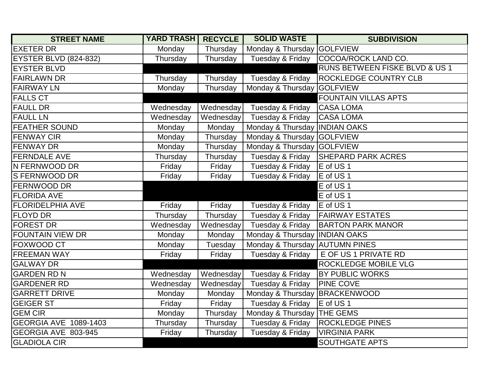| <b>STREET NAME</b>           | <b>YARD TRASH</b> | <b>RECYCLE</b> | <b>SOLID WASTE</b>              | <b>SUBDIVISION</b>             |
|------------------------------|-------------------|----------------|---------------------------------|--------------------------------|
| <b>EXETER DR</b>             | Monday            | Thursday       | Monday & Thursday GOLFVIEW      |                                |
| <b>EYSTER BLVD (824-832)</b> | Thursday          | Thursday       | Tuesday & Friday                | COCOA/ROCK LAND CO.            |
| <b>EYSTER BLVD</b>           |                   |                |                                 | RUNS BETWEEN FISKE BLVD & US 1 |
| <b>FAIRLAWN DR</b>           | Thursday          | Thursday       | Tuesday & Friday                | <b>ROCKLEDGE COUNTRY CLB</b>   |
| <b>FAIRWAY LN</b>            | Monday            | Thursday       | Monday & Thursday GOLFVIEW      |                                |
| <b>FALLS CT</b>              |                   |                |                                 | <b>FOUNTAIN VILLAS APTS</b>    |
| <b>FAULL DR</b>              | Wednesday         | Wednesday      | Tuesday & Friday                | <b>CASA LOMA</b>               |
| <b>FAULL LN</b>              | Wednesday         | Wednesday      | Tuesday & Friday                | <b>CASA LOMA</b>               |
| <b>FEATHER SOUND</b>         | Monday            | Monday         | Monday & Thursday   INDIAN OAKS |                                |
| <b>FENWAY CIR</b>            | Monday            | Thursday       | Monday & Thursday GOLFVIEW      |                                |
| <b>FENWAY DR</b>             | Monday            | Thursday       | Monday & Thursday GOLFVIEW      |                                |
| <b>FERNDALE AVE</b>          | Thursday          | Thursday       | Tuesday & Friday                | <b>SHEPARD PARK ACRES</b>      |
| N FERNWOOD DR                | Friday            | Friday         | Tuesday & Friday                | E of US <sub>1</sub>           |
| <b>S FERNWOOD DR</b>         | Friday            | Friday         | Tuesday & Friday                | E of US <sub>1</sub>           |
| <b>FERNWOOD DR</b>           |                   |                |                                 | E of US <sub>1</sub>           |
| <b>FLORIDA AVE</b>           |                   |                |                                 | E of US <sub>1</sub>           |
| <b>FLORIDELPHIA AVE</b>      | Friday            | Friday         | Tuesday & Friday                | E of US <sub>1</sub>           |
| <b>FLOYD DR</b>              | Thursday          | Thursday       | Tuesday & Friday                | <b>FAIRWAY ESTATES</b>         |
| <b>FOREST DR</b>             | Wednesday         | Wednesday      | Tuesday & Friday                | <b>BARTON PARK MANOR</b>       |
| <b>FOUNTAIN VIEW DR</b>      | Monday            | Monday         | Monday & Thursday INDIAN OAKS   |                                |
| FOXWOOD CT                   | Monday            | Tuesday        | Monday & Thursday AUTUMN PINES  |                                |
| <b>FREEMAN WAY</b>           | Friday            | Friday         | Tuesday & Friday                | E OF US 1 PRIVATE RD           |
| <b>GALWAY DR</b>             |                   |                |                                 | ROCKLEDGE MOBILE VLG           |
| <b>GARDEN RD N</b>           | Wednesday         | Wednesday      | Tuesday & Friday                | <b>BY PUBLIC WORKS</b>         |
| <b>GARDENER RD</b>           | Wednesday         | Wednesday      | Tuesday & Friday                | <b>PINE COVE</b>               |
| <b>GARRETT DRIVE</b>         | Monday            | Monday         | Monday & Thursday BRACKENWOOD   |                                |
| <b>GEIGER ST</b>             | Friday            | Friday         | Tuesday & Friday                | E of US 1                      |
| <b>GEM CIR</b>               | Monday            | Thursday       | Monday & Thursday THE GEMS      |                                |
| GEORGIA AVE 1089-1403        | Thursday          | Thursday       | Tuesday & Friday                | <b>ROCKLEDGE PINES</b>         |
| GEORGIA AVE 803-945          | Friday            | Thursday       | Tuesday & Friday                | <b>VIRGINIA PARK</b>           |
| <b>GLADIOLA CIR</b>          |                   |                |                                 | <b>SOUTHGATE APTS</b>          |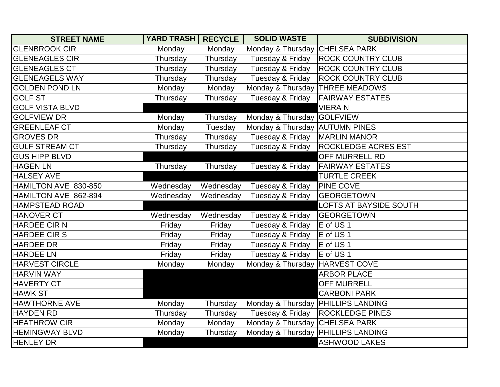| <b>STREET NAME</b>     | <b>YARD TRASH</b> | <b>RECYCLE</b> | <b>SOLID WASTE</b>                   | <b>SUBDIVISION</b>                 |
|------------------------|-------------------|----------------|--------------------------------------|------------------------------------|
| <b>GLENBROOK CIR</b>   | Monday            | Monday         | Monday & Thursday CHELSEA PARK       |                                    |
| <b>GLENEAGLES CIR</b>  | Thursday          | Thursday       | Tuesday & Friday                     | <b>ROCK COUNTRY CLUB</b>           |
| <b>GLENEAGLES CT</b>   | Thursday          | Thursday       | Tuesday & Friday                     | <b>ROCK COUNTRY CLUB</b>           |
| <b>GLENEAGELS WAY</b>  | Thursday          | Thursday       | Tuesday & Friday                     | <b>ROCK COUNTRY CLUB</b>           |
| <b>GOLDEN POND LN</b>  | Monday            | Monday         | Monday & Thursday THREE MEADOWS      |                                    |
| <b>GOLF ST</b>         | Thursday          | Thursday       | Tuesday & Friday                     | <b>FAIRWAY ESTATES</b>             |
| <b>GOLF VISTA BLVD</b> |                   |                |                                      | <b>VIERAN</b>                      |
| <b>GOLFVIEW DR</b>     | Monday            | Thursday       | Monday & Thursday GOLFVIEW           |                                    |
| <b>GREENLEAF CT</b>    | Monday            | Tuesday        | Monday & Thursday AUTUMN PINES       |                                    |
| <b>GROVES DR</b>       | Thursday          | Thursday       | Tuesday & Friday                     | <b>MARLIN MANOR</b>                |
| <b>GULF STREAM CT</b>  | Thursday          | Thursday       | Tuesday & Friday                     | <b>ROCKLEDGE ACRES EST</b>         |
| <b>GUS HIPP BLVD</b>   |                   |                |                                      | <b>OFF MURRELL RD</b>              |
| <b>HAGEN LN</b>        | Thursday          | Thursday       | Tuesday & Friday                     | <b>FAIRWAY ESTATES</b>             |
| <b>HALSEY AVE</b>      |                   |                |                                      | <b>TURTLE CREEK</b>                |
| HAMILTON AVE 830-850   | Wednesday         | Wednesday      | Tuesday & Friday                     | <b>PINE COVE</b>                   |
| HAMILTON AVE 862-894   | Wednesday         | Wednesday      | Tuesday & Friday                     | <b>GEORGETOWN</b>                  |
| <b>HAMPSTEAD ROAD</b>  |                   |                |                                      | LOFTS AT BAYSIDE SOUTH             |
| <b>HANOVER CT</b>      | Wednesday         | Wednesday      | Tuesday & Friday                     | <b>GEORGETOWN</b>                  |
| <b>HARDEE CIR N</b>    | Friday            | Friday         | Tuesday & Friday                     | E of US 1                          |
| <b>HARDEE CIR S</b>    | Friday            | Friday         | Tuesday & Friday                     | E of US 1                          |
| <b>HARDEE DR</b>       | Friday            | Friday         | Tuesday & Friday                     | E of US 1                          |
| <b>HARDEE LN</b>       | Friday            | Friday         | Tuesday & Friday                     | E of US <sub>1</sub>               |
| <b>HARVEST CIRCLE</b>  | Monday            | Monday         | Monday & Thursday HARVEST COVE       |                                    |
| <b>HARVIN WAY</b>      |                   |                |                                      | <b>ARBOR PLACE</b>                 |
| <b>HAVERTY CT</b>      |                   |                |                                      | <b>OFF MURRELL</b>                 |
| <b>HAWK ST</b>         |                   |                |                                      | <b>CARBONI PARK</b>                |
| <b>HAWTHORNE AVE</b>   | Monday            | Thursday       | Monday & Thursday   PHILLIPS LANDING |                                    |
| <b>HAYDEN RD</b>       | Thursday          | Thursday       |                                      | Tuesday & Friday   ROCKLEDGE PINES |
| <b>HEATHROW CIR</b>    | Monday            | Monday         | Monday & Thursday CHELSEA PARK       |                                    |
| <b>HEMINGWAY BLVD</b>  | Monday            | Thursday       | Monday & Thursday PHILLIPS LANDING   |                                    |
| <b>HENLEY DR</b>       |                   |                |                                      | <b>ASHWOOD LAKES</b>               |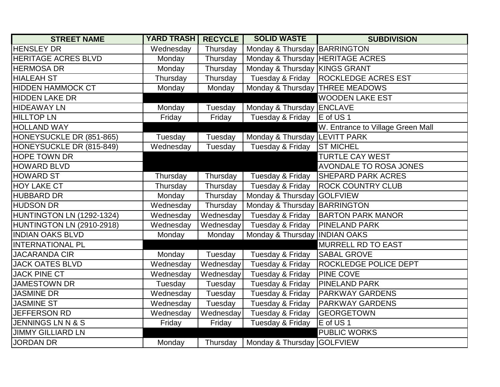| <b>STREET NAME</b>           | <b>YARD TRASH</b> | <b>RECYCLE</b> | <b>SOLID WASTE</b>               | <b>SUBDIVISION</b>                |
|------------------------------|-------------------|----------------|----------------------------------|-----------------------------------|
| <b>HENSLEY DR</b>            | Wednesday         | Thursday       | Monday & Thursday BARRINGTON     |                                   |
| <b>HERITAGE ACRES BLVD</b>   | Monday            | Thursday       | Monday & Thursday HERITAGE ACRES |                                   |
| <b>HERMOSA DR</b>            | Monday            | Thursday       | Monday & Thursday KINGS GRANT    |                                   |
| <b>HIALEAH ST</b>            | Thursday          | Thursday       | Tuesday & Friday                 | <b>ROCKLEDGE ACRES EST</b>        |
| <b>HIDDEN HAMMOCK CT</b>     | Monday            | Monday         |                                  | Monday & Thursday   THREE MEADOWS |
| <b>HIDDEN LAKE DR</b>        |                   |                |                                  | <b>WOODEN LAKE EST</b>            |
| <b>HIDEAWAY LN</b>           | Monday            | Tuesday        | Monday & Thursday ENCLAVE        |                                   |
| <b>HILLTOP LN</b>            | Friday            | Friday         | Tuesday & Friday                 | E of US 1                         |
| <b>HOLLAND WAY</b>           |                   |                |                                  | W. Entrance to Village Green Mall |
| HONEYSUCKLE DR (851-865)     | Tuesday           | Tuesday        | Monday & Thursday LEVITT PARK    |                                   |
| HONEYSUCKLE DR (815-849)     | Wednesday         | Tuesday        | Tuesday & Friday                 | <b>ST MICHEL</b>                  |
| <b>HOPE TOWN DR</b>          |                   |                |                                  | <b>TURTLE CAY WEST</b>            |
| <b>HOWARD BLVD</b>           |                   |                |                                  | <b>AVONDALE TO ROSA JONES</b>     |
| <b>HOWARD ST</b>             | Thursday          | Thursday       | Tuesday & Friday                 | <b>SHEPARD PARK ACRES</b>         |
| <b>HOY LAKE CT</b>           | Thursday          | Thursday       | Tuesday & Friday                 | <b>ROCK COUNTRY CLUB</b>          |
| <b>HUBBARD DR</b>            | Monday            | Thursday       | Monday & Thursday GOLFVIEW       |                                   |
| <b>HUDSON DR</b>             | Wednesday         | Thursday       | Monday & Thursday BARRINGTON     |                                   |
| HUNTINGTON LN (1292-1324)    | Wednesday         | Wednesday      | Tuesday & Friday                 | <b>BARTON PARK MANOR</b>          |
| HUNTINGTON LN (2910-2918)    | Wednesday         | Wednesday      | Tuesday & Friday                 | <b>PINELAND PARK</b>              |
| <b>INDIAN OAKS BLVD</b>      | Monday            | Monday         | Monday & Thursday   INDIAN OAKS  |                                   |
| <b>INTERNATIONAL PL</b>      |                   |                |                                  | <b>MURRELL RD TO EAST</b>         |
| <b>JACARANDA CIR</b>         | Monday            | Tuesday        | Tuesday & Friday                 | <b>SABAL GROVE</b>                |
| <b>JACK OATES BLVD</b>       | Wednesday         | Wednesday      | Tuesday & Friday                 | <b>ROCKLEDGE POLICE DEPT</b>      |
| <b>JACK PINE CT</b>          | Wednesday         | Wednesday      | Tuesday & Friday                 | <b>PINE COVE</b>                  |
| <b>JAMESTOWN DR</b>          | Tuesday           | Tuesday        | Tuesday & Friday                 | <b>PINELAND PARK</b>              |
| <b>JASMINE DR</b>            | Wednesday         | Tuesday        | Tuesday & Friday                 | <b>PARKWAY GARDENS</b>            |
| <b>JASMINE ST</b>            | Wednesday         | Tuesday        | Tuesday & Friday                 | <b>PARKWAY GARDENS</b>            |
| JEFFERSON RD                 | Wednesday         | Wednesday      | Tuesday & Friday                 | <b>GEORGETOWN</b>                 |
| <b>JENNINGS LN N &amp; S</b> | Friday            | Friday         | Tuesday & Friday                 | E of US 1                         |
| <b>JIMMY GILLIARD LN</b>     |                   |                |                                  | <b>PUBLIC WORKS</b>               |
| <b>JORDAN DR</b>             | Monday            | Thursday       | Monday & Thursday GOLFVIEW       |                                   |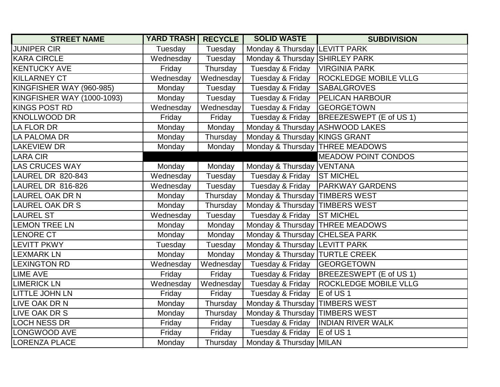| <b>STREET NAME</b>         | <b>YARD TRASH</b> | <b>RECYCLE</b> | <b>SOLID WASTE</b>                | <b>SUBDIVISION</b>           |
|----------------------------|-------------------|----------------|-----------------------------------|------------------------------|
| <b>JUNIPER CIR</b>         | Tuesday           | Tuesday        | Monday & Thursday LEVITT PARK     |                              |
| <b>KARA CIRCLE</b>         | Wednesday         | Tuesday        | Monday & Thursday SHIRLEY PARK    |                              |
| <b>KENTUCKY AVE</b>        | Friday            | Thursday       | Tuesday & Friday                  | <b>VIRGINIA PARK</b>         |
| KILLARNEY CT               | Wednesday         | Wednesday      | Tuesday & Friday                  | <b>ROCKLEDGE MOBILE VLLG</b> |
| KINGFISHER WAY (960-985)   | Monday            | Tuesday        | Tuesday & Friday                  | <b>SABALGROVES</b>           |
| KINGFISHER WAY (1000-1093) | Monday            | Tuesday        | Tuesday & Friday                  | <b>PELICAN HARBOUR</b>       |
| KINGS POST RD              | Wednesday         | Wednesday      | Tuesday & Friday                  | <b>GEORGETOWN</b>            |
| KNOLLWOOD DR               | Friday            | Friday         | Tuesday & Friday                  | BREEZESWEPT (E of US 1)      |
| <b>LA FLOR DR</b>          | Monday            | Monday         | Monday & Thursday ASHWOOD LAKES   |                              |
| LA PALOMA DR               | Monday            | Thursday       | Monday & Thursday KINGS GRANT     |                              |
| <b>LAKEVIEW DR</b>         | Monday            | Monday         | Monday & Thursday   THREE MEADOWS |                              |
| <b>LARA CIR</b>            |                   |                |                                   | <b>MEADOW POINT CONDOS</b>   |
| <b>LAS CRUCES WAY</b>      | Monday            | Monday         | Monday & Thursday   VENTANA       |                              |
| LAUREL DR 820-843          | Wednesday         | Tuesday        | Tuesday & Friday                  | <b>ST MICHEL</b>             |
| LAUREL DR 816-826          | Wednesday         | Tuesday        | Tuesday & Friday                  | <b>PARKWAY GARDENS</b>       |
| <b>LAUREL OAK DR N</b>     | Monday            | Thursday       | Monday & Thursday   TIMBERS WEST  |                              |
| <b>LAUREL OAK DR S</b>     | Monday            | Thursday       | Monday & Thursday   TIMBERS WEST  |                              |
| <b>LAUREL ST</b>           | Wednesday         | Tuesday        | Tuesday & Friday                  | <b>ST MICHEL</b>             |
| <b>LEMON TREE LN</b>       | Monday            | Monday         | Monday & Thursday   THREE MEADOWS |                              |
| LENORE CT                  | Monday            | Monday         | Monday & Thursday CHELSEA PARK    |                              |
| <b>LEVITT PKWY</b>         | Tuesday           | Tuesday        | Monday & Thursday   LEVITT PARK   |                              |
| <b>LEXMARK LN</b>          | Monday            | Monday         | Monday & Thursday   TURTLE CREEK  |                              |
| <b>LEXINGTON RD</b>        | Wednesday         | Wednesday      | Tuesday & Friday                  | <b>GEORGETOWN</b>            |
| <b>LIME AVE</b>            | Friday            | Friday         | Tuesday & Friday                  | BREEZESWEPT (E of US 1)      |
| <b>LIMERICK LN</b>         | Wednesday         | Wednesday      | Tuesday & Friday                  | <b>ROCKLEDGE MOBILE VLLG</b> |
| <b>LITTLE JOHN LN</b>      | Friday            | Friday         | Tuesday & Friday                  | E of US1                     |
| LIVE OAK DR N              | Monday            | Thursday       | Monday & Thursday   TIMBERS WEST  |                              |
| LIVE OAK DR S              | Monday            | Thursday       | Monday & Thursday  TIMBERS WEST   |                              |
| <b>LOCH NESS DR</b>        | Friday            | Friday         | Tuesday & Friday                  | <b>INDIAN RIVER WALK</b>     |
| LONGWOOD AVE               | Friday            | Friday         | Tuesday & Friday                  | E of US1                     |
| <b>LORENZA PLACE</b>       | Monday            | Thursday       | Monday & Thursday MILAN           |                              |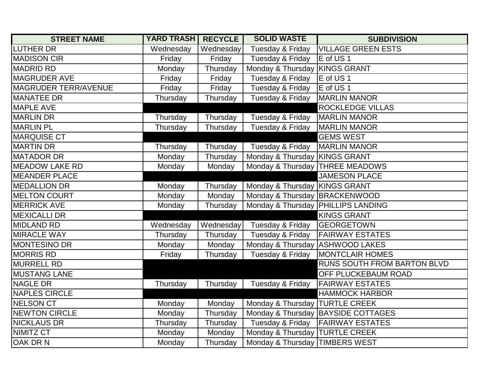| <b>STREET NAME</b>          | <b>YARD TRASH</b> | <b>RECYCLE</b> | <b>SOLID WASTE</b>                   | <b>SUBDIVISION</b>                 |
|-----------------------------|-------------------|----------------|--------------------------------------|------------------------------------|
| <b>LUTHER DR</b>            | Wednesday         | Wednesday      | Tuesday & Friday                     | <b>VILLAGE GREEN ESTS</b>          |
| <b>MADISON CIR</b>          | Friday            | Friday         | Tuesday & Friday                     | E of US <sub>1</sub>               |
| <b>MADRID RD</b>            | Monday            | Thursday       | Monday & Thursday KINGS GRANT        |                                    |
| <b>MAGRUDER AVE</b>         | Friday            | Friday         | Tuesday & Friday                     | E of US <sub>1</sub>               |
| <b>MAGRUDER TERR/AVENUE</b> | Friday            | Friday         | Tuesday & Friday                     | E of US 1                          |
| <b>MANATEE DR</b>           | Thursday          | Thursday       | Tuesday & Friday                     | <b>MARLIN MANOR</b>                |
| <b>MAPLE AVE</b>            |                   |                |                                      | <b>ROCKLEDGE VILLAS</b>            |
| <b>MARLIN DR</b>            | Thursday          | Thursday       | Tuesday & Friday                     | <b>MARLIN MANOR</b>                |
| <b>MARLIN PL</b>            | Thursday          | Thursday       | Tuesday & Friday                     | <b>MARLIN MANOR</b>                |
| <b>MARQUISE CT</b>          |                   |                |                                      | <b>GEMS WEST</b>                   |
| <b>MARTIN DR</b>            | Thursday          | Thursday       | Tuesday & Friday                     | <b>MARLIN MANOR</b>                |
| <b>MATADOR DR</b>           | Monday            | Thursday       | Monday & Thursday KINGS GRANT        |                                    |
| <b>MEADOW LAKE RD</b>       | Monday            | Monday         | Monday & Thursday THREE MEADOWS      |                                    |
| <b>MEANDER PLACE</b>        |                   |                |                                      | <b>JAMESON PLACE</b>               |
| <b>MEDALLION DR</b>         | Monday            | Thursday       | Monday & Thursday KINGS GRANT        |                                    |
| <b>MELTON COURT</b>         | Monday            | Monday         | Monday & Thursday BRACKENWOOD        |                                    |
| <b>MERRICK AVE</b>          | Monday            | Thursday       | Monday & Thursday   PHILLIPS LANDING |                                    |
| <b>MEXICALLI DR</b>         |                   |                |                                      | <b>KINGS GRANT</b>                 |
| <b>MIDLAND RD</b>           | Wednesday         | Wednesday      | Tuesday & Friday                     | <b>GEORGETOWN</b>                  |
| <b>MIRACLE WAY</b>          | Thursday          | Thursday       | Tuesday & Friday                     | <b>FAIRWAY ESTATES</b>             |
| <b>MONTESINO DR</b>         | Monday            | Monday         | Monday & Thursday ASHWOOD LAKES      |                                    |
| <b>MORRIS RD</b>            | Friday            | Thursday       | Tuesday & Friday                     | <b>MONTCLAIR HOMES</b>             |
| <b>MURRELL RD</b>           |                   |                |                                      | RUNS SOUTH FROM BARTON BLVD        |
| <b>MUSTANG LANE</b>         |                   |                |                                      | OFF PLUCKEBAUM ROAD                |
| <b>NAGLE DR</b>             | Thursday          | Thursday       | Tuesday & Friday                     | <b>FAIRWAY ESTATES</b>             |
| <b>NAPLES CIRCLE</b>        |                   |                |                                      | <b>HAMMOCK HARBOR</b>              |
| NELSON CT                   | Monday            | Monday         | Monday & Thursday  TURTLE CREEK      |                                    |
| NEWTON CIRCLE               | Monday            | Thursday       |                                      | Monday & Thursday BAYSIDE COTTAGES |
| <b>NICKLAUS DR</b>          | Thursday          | Thursday       | Tuesday & Friday                     | <b>FAIRWAY ESTATES</b>             |
| NIMITZ CT                   | Monday            | Monday         | Monday & Thursday   TURTLE CREEK     |                                    |
| OAK DR N                    | Monday            | Thursday       | Monday & Thursday TIMBERS WEST       |                                    |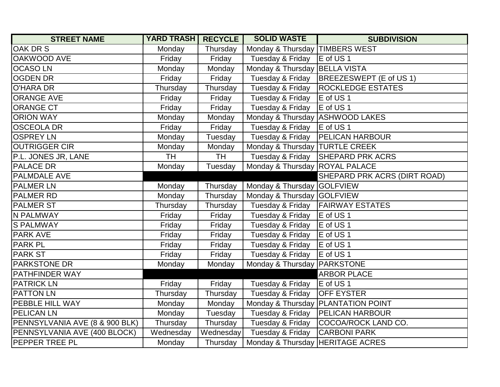| <b>STREET NAME</b>             | <b>YARD TRASH RECYCLE</b> |           | <b>SOLID WASTE</b>                | <b>SUBDIVISION</b>           |
|--------------------------------|---------------------------|-----------|-----------------------------------|------------------------------|
| OAK DR S                       | Monday                    | Thursday  | Monday & Thursday                 | <b>TIMBERS WEST</b>          |
| <b>OAKWOOD AVE</b>             | Friday                    | Friday    | Tuesday & Friday                  | E of US 1                    |
| <b>OCASOLN</b>                 | Monday                    | Monday    | Monday & Thursday                 | <b>BELLA VISTA</b>           |
| <b>OGDEN DR</b>                | Friday                    | Friday    | Tuesday & Friday                  | BREEZESWEPT (E of US 1)      |
| <b>O'HARA DR</b>               | Thursday                  | Thursday  | Tuesday & Friday                  | <b>ROCKLEDGE ESTATES</b>     |
| <b>ORANGE AVE</b>              | Friday                    | Friday    | Tuesday & Friday                  | E of US <sub>1</sub>         |
| <b>ORANGE CT</b>               | Friday                    | Friday    | Tuesday & Friday                  | E of US 1                    |
| <b>ORION WAY</b>               | Monday                    | Monday    | Monday & Thursday   ASHWOOD LAKES |                              |
| <b>OSCEOLA DR</b>              | Friday                    | Friday    | Tuesday & Friday                  | E of US 1                    |
| <b>OSPREY LN</b>               | Monday                    | Tuesday   | Tuesday & Friday                  | <b>PELICAN HARBOUR</b>       |
| <b>OUTRIGGER CIR</b>           | Monday                    | Monday    | Monday & Thursday   TURTLE CREEK  |                              |
| P.L. JONES JR, LANE            | <b>TH</b>                 | <b>TH</b> | Tuesday & Friday                  | <b>SHEPARD PRK ACRS</b>      |
| <b>PALACE DR</b>               | Monday                    | Tuesday   | Monday & Thursday ROYAL PALACE    |                              |
| PALMDALE AVE                   |                           |           |                                   | SHEPARD PRK ACRS (DIRT ROAD) |
| <b>PALMER LN</b>               | Monday                    | Thursday  | Monday & Thursday GOLFVIEW        |                              |
| PALMER RD                      | Monday                    | Thursday  | Monday & Thursday GOLFVIEW        |                              |
| <b>PALMER ST</b>               | Thursday                  | Thursday  | Tuesday & Friday                  | <b>FAIRWAY ESTATES</b>       |
| N PALMWAY                      | Friday                    | Friday    | Tuesday & Friday                  | E of US <sub>1</sub>         |
| <b>S PALMWAY</b>               | Friday                    | Friday    | Tuesday & Friday                  | E of US 1                    |
| <b>PARK AVE</b>                | Friday                    | Friday    | Tuesday & Friday                  | E of US 1                    |
| <b>PARK PL</b>                 | Friday                    | Friday    | Tuesday & Friday                  | E of US 1                    |
| <b>PARK ST</b>                 | Friday                    | Friday    | Tuesday & Friday                  | E of US 1                    |
| <b>PARKSTONE DR</b>            | Monday                    | Monday    | Monday & Thursday   PARKSTONE     |                              |
| PATHFINDER WAY                 |                           |           |                                   | <b>ARBOR PLACE</b>           |
| <b>PATRICK LN</b>              | Friday                    | Friday    | Tuesday & Friday                  | E of US 1                    |
| <b>PATTON LN</b>               | Thursday                  | Thursday  | Tuesday & Friday                  | <b>OFF EYSTER</b>            |
| PEBBLE HILL WAY                | Monday                    | Monday    | Monday & Thursday                 | <b>PLANTATION POINT</b>      |
| <b>PELICAN LN</b>              | Monday                    | Tuesday   | Tuesday & Friday                  | <b>PELICAN HARBOUR</b>       |
| PENNSYLVANIA AVE (8 & 900 BLK) | Thursday                  | Thursday  | Tuesday & Friday                  | COCOA/ROCK LAND CO.          |
| PENNSYLVANIA AVE (400 BLOCK)   | Wednesday                 | Wednesday | Tuesday & Friday                  | <b>CARBONI PARK</b>          |
| PEPPER TREE PL                 | Monday                    | Thursday  | Monday & Thursday                 | <b>HERITAGE ACRES</b>        |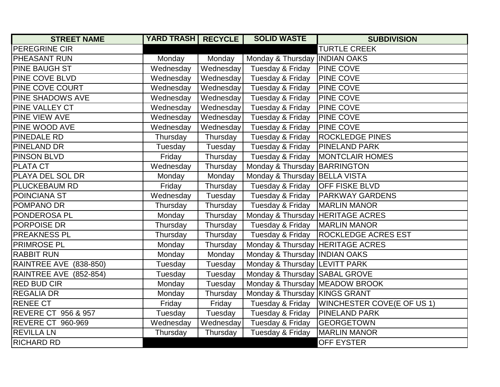| <b>STREET NAME</b>             | <b>YARD TRASH   RECYCLE</b> |           | <b>SOLID WASTE</b>               | <b>SUBDIVISION</b>         |
|--------------------------------|-----------------------------|-----------|----------------------------------|----------------------------|
| PEREGRINE CIR                  |                             |           |                                  | <b>TURTLE CREEK</b>        |
| PHEASANT RUN                   | Monday                      | Monday    | Monday & Thursday   INDIAN OAKS  |                            |
| PINE BAUGH ST                  | Wednesday                   | Wednesday | Tuesday & Friday                 | <b>PINE COVE</b>           |
| PINE COVE BLVD                 | Wednesday                   | Wednesday | Tuesday & Friday                 | PINE COVE                  |
| PINE COVE COURT                | Wednesday                   | Wednesday | Tuesday & Friday                 | <b>PINE COVE</b>           |
| <b>PINE SHADOWS AVE</b>        | Wednesday                   | Wednesday | Tuesday & Friday                 | <b>PINE COVE</b>           |
| PINE VALLEY CT                 | Wednesday                   | Wednesday | Tuesday & Friday                 | PINE COVE                  |
| PINE VIEW AVE                  | Wednesday                   | Wednesday | Tuesday & Friday                 | <b>PINE COVE</b>           |
| PINE WOOD AVE                  | Wednesday                   | Wednesday | Tuesday & Friday                 | <b>PINE COVE</b>           |
| PINEDALE RD                    | Thursday                    | Thursday  | Tuesday & Friday                 | <b>ROCKLEDGE PINES</b>     |
| PINELAND DR                    | Tuesday                     | Tuesday   | Tuesday & Friday                 | <b>PINELAND PARK</b>       |
| PINSON BLVD                    | Friday                      | Thursday  | Tuesday & Friday                 | <b>MONTCLAIR HOMES</b>     |
| PLATA CT                       | Wednesday                   | Thursday  | Monday & Thursday                | <b>BARRINGTON</b>          |
| PLAYA DEL SOL DR               | Monday                      | Monday    | Monday & Thursday                | <b>BELLA VISTA</b>         |
| <b>PLUCKEBAUM RD</b>           | Friday                      | Thursday  | Tuesday & Friday                 | <b>OFF FISKE BLVD</b>      |
| POINCIANA ST                   | Wednesday                   | Tuesday   | Tuesday & Friday                 | <b>PARKWAY GARDENS</b>     |
| POMPANO DR                     | Thursday                    | Thursday  | Tuesday & Friday                 | <b>MARLIN MANOR</b>        |
| PONDEROSA PL                   | Monday                      | Thursday  | Monday & Thursday                | <b>HERITAGE ACRES</b>      |
| PORPOISE DR                    | Thursday                    | Thursday  | Tuesday & Friday                 | <b>MARLIN MANOR</b>        |
| <b>PREAKNESS PL</b>            | Thursday                    | Thursday  | Tuesday & Friday                 | <b>ROCKLEDGE ACRES EST</b> |
| PRIMROSE PL                    | Monday                      | Thursday  | Monday & Thursday HERITAGE ACRES |                            |
| <b>RABBIT RUN</b>              | Monday                      | Monday    | Monday & Thursday INDIAN OAKS    |                            |
| RAINTREE AVE (838-850)         | Tuesday                     | Tuesday   | Monday & Thursday LEVITT PARK    |                            |
| RAINTREE AVE (852-854)         | Tuesday                     | Tuesday   | Monday & Thursday                | <b>SABAL GROVE</b>         |
| <b>RED BUD CIR</b>             | Monday                      | Tuesday   | Monday & Thursday MEADOW BROOK   |                            |
| <b>REGALIA DR</b>              | Monday                      | Thursday  | Monday & Thursday KINGS GRANT    |                            |
| <b>RENEE CT</b>                | Friday                      | Friday    | Tuesday & Friday                 | WINCHESTER COVE(E OF US 1) |
| <b>REVERE CT 956 &amp; 957</b> | Tuesday                     | Tuesday   | Tuesday & Friday                 | <b>PINELAND PARK</b>       |
| REVERE CT 960-969              | Wednesday                   | Wednesday | Tuesday & Friday                 | <b>GEORGETOWN</b>          |
| <b>REVILLA LN</b>              | Thursday                    | Thursday  | Tuesday & Friday                 | <b>MARLIN MANOR</b>        |
| <b>RICHARD RD</b>              |                             |           |                                  | <b>OFF EYSTER</b>          |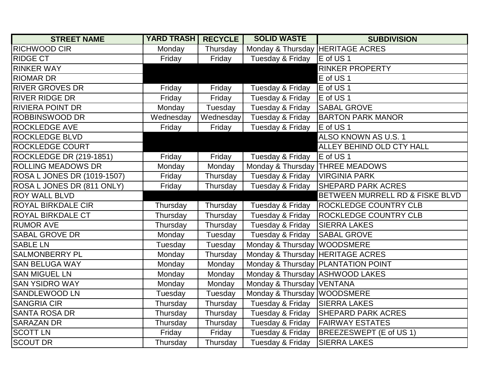| <b>STREET NAME</b>             | <b>YARD TRASH RECYCLE</b> |           | <b>SOLID WASTE</b>               | <b>SUBDIVISION</b>                   |
|--------------------------------|---------------------------|-----------|----------------------------------|--------------------------------------|
| <b>RICHWOOD CIR</b>            | Monday                    | Thursday  | Monday & Thursday HERITAGE ACRES |                                      |
| <b>RIDGE CT</b>                | Friday                    | Friday    | Tuesday & Friday                 | E of US <sub>1</sub>                 |
| <b>RINKER WAY</b>              |                           |           |                                  | <b>RINKER PROPERTY</b>               |
| <b>RIOMAR DR</b>               |                           |           |                                  | E of US <sub>1</sub>                 |
| <b>RIVER GROVES DR</b>         | Friday                    | Friday    | Tuesday & Friday                 | E of US 1                            |
| <b>RIVER RIDGE DR</b>          | Friday                    | Friday    | Tuesday & Friday                 | E of US 1                            |
| <b>RIVIERA POINT DR</b>        | Monday                    | Tuesday   | Tuesday & Friday                 | <b>SABAL GROVE</b>                   |
| <b>ROBBINSWOOD DR</b>          | Wednesday                 | Wednesday | Tuesday & Friday                 | <b>BARTON PARK MANOR</b>             |
| <b>ROCKLEDGE AVE</b>           | Friday                    | Friday    | Tuesday & Friday                 | E of US 1                            |
| ROCKLEDGE BLVD                 |                           |           |                                  | ALSO KNOWN AS U.S. 1                 |
| <b>ROCKLEDGE COURT</b>         |                           |           |                                  | ALLEY BEHIND OLD CTY HALL            |
| <b>ROCKLEDGE DR (219-1851)</b> | Friday                    | Friday    | Tuesday & Friday                 | E of US 1                            |
| <b>ROLLING MEADOWS DR</b>      | Monday                    | Monday    | Monday & Thursday THREE MEADOWS  |                                      |
| ROSA L JONES DR (1019-1507)    | Friday                    | Thursday  | Tuesday & Friday                 | <b>VIRGINIA PARK</b>                 |
| ROSA L JONES DR (811 ONLY)     | Friday                    | Thursday  | Tuesday & Friday                 | <b>SHEPARD PARK ACRES</b>            |
| <b>ROY WALL BLVD</b>           |                           |           |                                  | BETWEEN MURRELL RD & FISKE BLVD      |
| <b>ROYAL BIRKDALE CIR</b>      | Thursday                  | Thursday  | Tuesday & Friday                 | <b>ROCKLEDGE COUNTRY CLB</b>         |
| <b>ROYAL BIRKDALE CT</b>       | Thursday                  | Thursday  | Tuesday & Friday                 | <b>ROCKLEDGE COUNTRY CLB</b>         |
| <b>RUMOR AVE</b>               | Thursday                  | Thursday  | Tuesday & Friday                 | <b>SIERRA LAKES</b>                  |
| <b>SABAL GROVE DR</b>          | Monday                    | Tuesday   | Tuesday & Friday                 | <b>SABAL GROVE</b>                   |
| <b>SABLE LN</b>                | Tuesday                   | Tuesday   | Monday & Thursday WOODSMERE      |                                      |
| <b>SALMONBERRY PL</b>          | Monday                    | Thursday  | Monday & Thursday HERITAGE ACRES |                                      |
| <b>SAN BELUGA WAY</b>          | Monday                    | Monday    |                                  | Monday & Thursday   PLANTATION POINT |
| <b>SAN MIGUEL LN</b>           | Monday                    | Monday    | Monday & Thursday ASHWOOD LAKES  |                                      |
| <b>SAN YSIDRO WAY</b>          | Monday                    | Monday    | Monday & Thursday VENTANA        |                                      |
| SANDLEWOOD LN                  | Tuesday                   | Tuesday   | Monday & Thursday   WOODSMERE    |                                      |
| <b>SANGRIA CIR</b>             | Thursday                  | Thursday  | Tuesday & Friday                 | <b>SIERRA LAKES</b>                  |
| <b>SANTA ROSA DR</b>           | Thursday                  | Thursday  | Tuesday & Friday                 | <b>SHEPARD PARK ACRES</b>            |
| <b>SARAZAN DR</b>              | Thursday                  | Thursday  | Tuesday & Friday                 | <b>FAIRWAY ESTATES</b>               |
| <b>SCOTT LN</b>                | Friday                    | Friday    | Tuesday & Friday                 | BREEZESWEPT (E of US 1)              |
| <b>SCOUT DR</b>                | Thursday                  | Thursday  | Tuesday & Friday                 | <b>SIERRA LAKES</b>                  |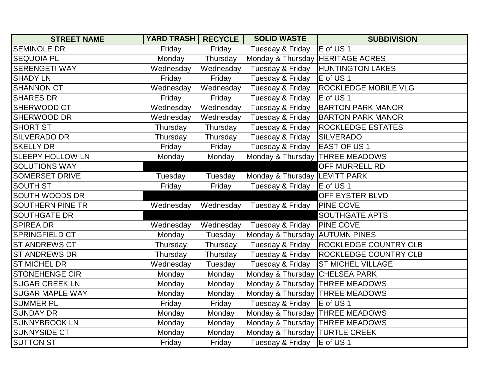| <b>STREET NAME</b>      | YARD TRASH   RECYCLE |           | <b>SOLID WASTE</b>                | <b>SUBDIVISION</b>                       |
|-------------------------|----------------------|-----------|-----------------------------------|------------------------------------------|
| <b>SEMINOLE DR</b>      | Friday               | Friday    | Tuesday & Friday                  | E of US <sub>1</sub>                     |
| <b>SEQUOIA PL</b>       | Monday               | Thursday  | Monday & Thursday  HERITAGE ACRES |                                          |
| <b>SERENGETI WAY</b>    | Wednesday            | Wednesday | Tuesday & Friday                  | <b>HUNTINGTON LAKES</b>                  |
| <b>SHADY LN</b>         | Friday               | Friday    | Tuesday & Friday                  | E of US <sub>1</sub>                     |
| <b>SHANNON CT</b>       | Wednesday            | Wednesday | Tuesday & Friday                  | <b>ROCKLEDGE MOBILE VLG</b>              |
| <b>SHARES DR</b>        | Friday               | Friday    | Tuesday & Friday                  | E of US 1                                |
| SHERWOOD CT             | Wednesday            | Wednesday | Tuesday & Friday                  | <b>BARTON PARK MANOR</b>                 |
| SHERWOOD DR             | Wednesday            | Wednesday | Tuesday & Friday                  | <b>BARTON PARK MANOR</b>                 |
| <b>SHORT ST</b>         | Thursday             | Thursday  | Tuesday & Friday                  | <b>ROCKLEDGE ESTATES</b>                 |
| <b>SILVERADO DR</b>     | Thursday             | Thursday  | Tuesday & Friday                  | <b>SILVERADO</b>                         |
| <b>SKELLY DR</b>        | Friday               | Friday    | Tuesday & Friday   EAST OF US 1   |                                          |
| <b>SLEEPY HOLLOW LN</b> | Monday               | Monday    | Monday & Thursday   THREE MEADOWS |                                          |
| <b>SOLUTIONS WAY</b>    |                      |           |                                   | OFF MURRELL RD                           |
| <b>SOMERSET DRIVE</b>   | Tuesday              | Tuesday   | Monday & Thursday LEVITT PARK     |                                          |
| <b>SOUTH ST</b>         | Friday               | Friday    | Tuesday & Friday                  | E of US <sub>1</sub>                     |
| <b>SOUTH WOODS DR</b>   |                      |           |                                   | OFF EYSTER BLVD                          |
| <b>SOUTHERN PINE TR</b> | Wednesday            | Wednesday | Tuesday & Friday                  | <b>PINE COVE</b>                         |
| <b>SOUTHGATE DR</b>     |                      |           |                                   | <b>SOUTHGATE APTS</b>                    |
| <b>SPIREA DR</b>        | Wednesday            | Wednesday | Tuesday & Friday   PINE COVE      |                                          |
| SPRINGFIELD CT          | Monday               | Tuesday   | Monday & Thursday AUTUMN PINES    |                                          |
| <b>ST ANDREWS CT</b>    | Thursday             | Thursday  |                                   | Tuesday & Friday   ROCKLEDGE COUNTRY CLB |
| <b>ST ANDREWS DR</b>    | Thursday             | Thursday  | Tuesday & Friday                  | <b>ROCKLEDGE COUNTRY CLB</b>             |
| <b>ST MICHEL DR</b>     | Wednesday            | Tuesday   |                                   | Tuesday & Friday   ST MICHEL VILLAGE     |
| <b>STONEHENGE CIR</b>   | Monday               | Monday    | Monday & Thursday CHELSEA PARK    |                                          |
| <b>SUGAR CREEK LN</b>   | Monday               | Monday    | Monday & Thursday THREE MEADOWS   |                                          |
| <b>SUGAR MAPLE WAY</b>  | Monday               | Monday    | Monday & Thursday THREE MEADOWS   |                                          |
| <b>SUMMER PL</b>        | Friday               | Friday    | Tuesday & Friday   E of US 1      |                                          |
| <b>SUNDAY DR</b>        | Monday               | Monday    | Monday & Thursday   THREE MEADOWS |                                          |
| SUNNYBROOK LN           | Monday               | Monday    | Monday & Thursday   THREE MEADOWS |                                          |
| <b>SUNNYSIDE CT</b>     | Monday               | Monday    | Monday & Thursday   TURTLE CREEK  |                                          |
| <b>SUTTON ST</b>        | Friday               | Friday    | Tuesday & Friday   E of US 1      |                                          |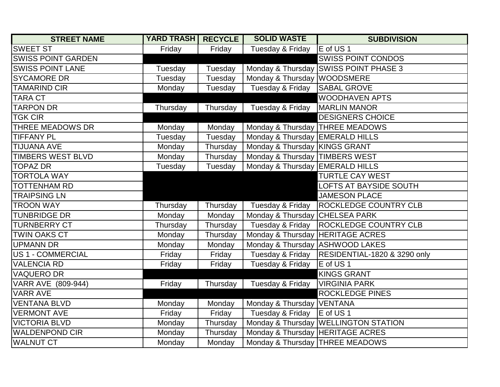| <b>STREET NAME</b>        | <b>YARD TRASH   RECYCLE</b> |          | <b>SOLID WASTE</b>                | <b>SUBDIVISION</b>                    |
|---------------------------|-----------------------------|----------|-----------------------------------|---------------------------------------|
| <b>SWEET ST</b>           | Friday                      | Friday   | Tuesday & Friday                  | E of US 1                             |
| <b>SWISS POINT GARDEN</b> |                             |          |                                   | <b>SWISS POINT CONDOS</b>             |
| <b>SWISS POINT LANE</b>   | Tuesday                     | Tuesday  |                                   | Monday & Thursday SWISS POINT PHASE 3 |
| <b>SYCAMORE DR</b>        | Tuesday                     | Tuesday  | Monday & Thursday WOODSMERE       |                                       |
| <b>TAMARIND CIR</b>       | Monday                      | Tuesday  | Tuesday & Friday                  | <b>SABAL GROVE</b>                    |
| <b>TARA CT</b>            |                             |          |                                   | <b>WOODHAVEN APTS</b>                 |
| <b>TARPON DR</b>          | Thursday                    | Thursday | Tuesday & Friday                  | <b>MARLIN MANOR</b>                   |
| <b>TGK CIR</b>            |                             |          |                                   | <b>DESIGNERS CHOICE</b>               |
| THREE MEADOWS DR          | Monday                      | Monday   | Monday & Thursday THREE MEADOWS   |                                       |
| <b>TIFFANY PL</b>         | Tuesday                     | Tuesday  | Monday & Thursday EMERALD HILLS   |                                       |
| <b>TIJUANA AVE</b>        | Monday                      | Thursday | Monday & Thursday KINGS GRANT     |                                       |
| <b>TIMBERS WEST BLVD</b>  | Monday                      | Thursday | Monday & Thursday   TIMBERS WEST  |                                       |
| <b>TOPAZ DR</b>           | Tuesday                     | Tuesday  | Monday & Thursday EMERALD HILLS   |                                       |
| <b>TORTOLA WAY</b>        |                             |          |                                   | <b>TURTLE CAY WEST</b>                |
| <b>TOTTENHAM RD</b>       |                             |          |                                   | <b>LOFTS AT BAYSIDE SOUTH</b>         |
| <b>TRAIPSING LN</b>       |                             |          |                                   | <b>JAMESON PLACE</b>                  |
| <b>TROON WAY</b>          | Thursday                    | Thursday | Tuesday & Friday                  | <b>ROCKLEDGE COUNTRY CLB</b>          |
| <b>TUNBRIDGE DR</b>       | Monday                      | Monday   | Monday & Thursday CHELSEA PARK    |                                       |
| <b>TURNBERRY CT</b>       | Thursday                    | Thursday | Tuesday & Friday                  | <b>ROCKLEDGE COUNTRY CLB</b>          |
| <b>TWIN OAKS CT</b>       | Monday                      | Thursday | Monday & Thursday  HERITAGE ACRES |                                       |
| <b>UPMANN DR</b>          | Monday                      | Monday   | Monday & Thursday ASHWOOD LAKES   |                                       |
| <b>US 1 - COMMERCIAL</b>  | Friday                      | Friday   | Tuesday & Friday                  | RESIDENTIAL-1820 & 3290 only          |
| <b>VALENCIA RD</b>        | Friday                      | Friday   | Tuesday & Friday                  | E of US 1                             |
| <b>VAQUERO DR</b>         |                             |          |                                   | <b>KINGS GRANT</b>                    |
| VARR AVE (809-944)        | Friday                      | Thursday | Tuesday & Friday                  | <b>VIRGINIA PARK</b>                  |
| <b>VARR AVE</b>           |                             |          |                                   | <b>ROCKLEDGE PINES</b>                |
| <b>VENTANA BLVD</b>       | Monday                      | Monday   | Monday & Thursday VENTANA         |                                       |
| <b>VERMONT AVE</b>        | Friday                      | Friday   | Tuesday & Friday                  | E of US 1                             |
| <b>VICTORIA BLVD</b>      | Monday                      | Thursday |                                   | Monday & Thursday WELLINGTON STATION  |
| <b>WALDENPOND CIR</b>     | Monday                      | Thursday | Monday & Thursday HERITAGE ACRES  |                                       |
| <b>WALNUT CT</b>          | Monday                      | Monday   | Monday & Thursday   THREE MEADOWS |                                       |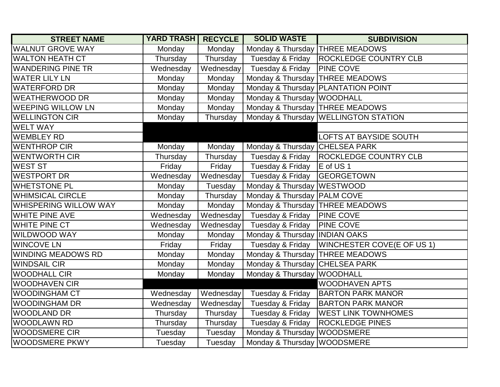| <b>STREET NAME</b>           | <b>YARD TRASH RECYCLE</b> |           | <b>SOLID WASTE</b>                | <b>SUBDIVISION</b>                   |
|------------------------------|---------------------------|-----------|-----------------------------------|--------------------------------------|
| <b>WALNUT GROVE WAY</b>      | Monday                    | Monday    | Monday & Thursday THREE MEADOWS   |                                      |
| <b>WALTON HEATH CT</b>       | Thursday                  | Thursday  | Tuesday & Friday                  | <b>ROCKLEDGE COUNTRY CLB</b>         |
| <b>WANDERING PINE TR</b>     | Wednesday                 |           | Wednesday Tuesday & Friday        | <b>PINE COVE</b>                     |
| <b>WATER LILY LN</b>         | Monday                    | Monday    | Monday & Thursday   THREE MEADOWS |                                      |
| <b>WATERFORD DR</b>          | Monday                    | Monday    |                                   | Monday & Thursday   PLANTATION POINT |
| <b>WEATHERWOOD DR</b>        | Monday                    | Monday    | Monday & Thursday WOODHALL        |                                      |
| <b>WEEPING WILLOW LN</b>     | Monday                    | Monday    | Monday & Thursday   THREE MEADOWS |                                      |
| <b>WELLINGTON CIR</b>        | Monday                    | Thursday  |                                   | Monday & Thursday WELLINGTON STATION |
| <b>WELT WAY</b>              |                           |           |                                   |                                      |
| <b>WEMBLEY RD</b>            |                           |           |                                   | <b>LOFTS AT BAYSIDE SOUTH</b>        |
| <b>WENTHROP CIR</b>          | Monday                    | Monday    | Monday & Thursday CHELSEA PARK    |                                      |
| <b>WENTWORTH CIR</b>         | Thursday                  | Thursday  | Tuesday & Friday                  | <b>ROCKLEDGE COUNTRY CLB</b>         |
| <b>WEST ST</b>               | Friday                    | Friday    | Tuesday & Friday                  | E of US <sub>1</sub>                 |
| <b>WESTPORT DR</b>           | Wednesday                 | Wednesday | Tuesday & Friday                  | <b>GEORGETOWN</b>                    |
| <b>WHETSTONE PL</b>          | Monday                    | Tuesday   | Monday & Thursday WESTWOOD        |                                      |
| <b>WHIMSICAL CIRCLE</b>      | Monday                    | Thursday  | Monday & Thursday   PALM COVE     |                                      |
| <b>WHISPERING WILLOW WAY</b> | Monday                    | Monday    | Monday & Thursday   THREE MEADOWS |                                      |
| <b>WHITE PINE AVE</b>        | Wednesday                 | Wednesday | Tuesday & Friday                  | <b>PINE COVE</b>                     |
| <b>WHITE PINE CT</b>         | Wednesday                 | Wednesday | Tuesday & Friday                  | <b>PINE COVE</b>                     |
| WILDWOOD WAY                 | Monday                    | Monday    | Monday & Thursday INDIAN OAKS     |                                      |
| <b>WINCOVE LN</b>            | Friday                    | Friday    | Tuesday & Friday                  | <b>WINCHESTER COVE(E OF US 1)</b>    |
| <b>WINDING MEADOWS RD</b>    | Monday                    | Monday    | Monday & Thursday THREE MEADOWS   |                                      |
| <b>WINDSAIL CIR</b>          | Monday                    | Monday    | Monday & Thursday CHELSEA PARK    |                                      |
| <b>WOODHALL CIR</b>          | Monday                    | Monday    | Monday & Thursday WOODHALL        |                                      |
| <b>WOODHAVEN CIR</b>         |                           |           |                                   | <b>WOODHAVEN APTS</b>                |
| <b>WOODINGHAM CT</b>         | Wednesday                 | Wednesday | Tuesday & Friday                  | <b>BARTON PARK MANOR</b>             |
| <b>WOODINGHAM DR</b>         | Wednesday                 | Wednesday | Tuesday & Friday                  | <b>BARTON PARK MANOR</b>             |
| <b>WOODLAND DR</b>           | Thursday                  | Thursday  | Tuesday & Friday                  | <b>WEST LINK TOWNHOMES</b>           |
| <b>WOODLAWN RD</b>           | Thursday                  | Thursday  | Tuesday & Friday                  | <b>ROCKLEDGE PINES</b>               |
| <b>WOODSMERE CIR</b>         | Tuesday                   | Tuesday   | Monday & Thursday   WOODSMERE     |                                      |
| <b>WOODSMERE PKWY</b>        | Tuesday                   | Tuesday   | Monday & Thursday WOODSMERE       |                                      |